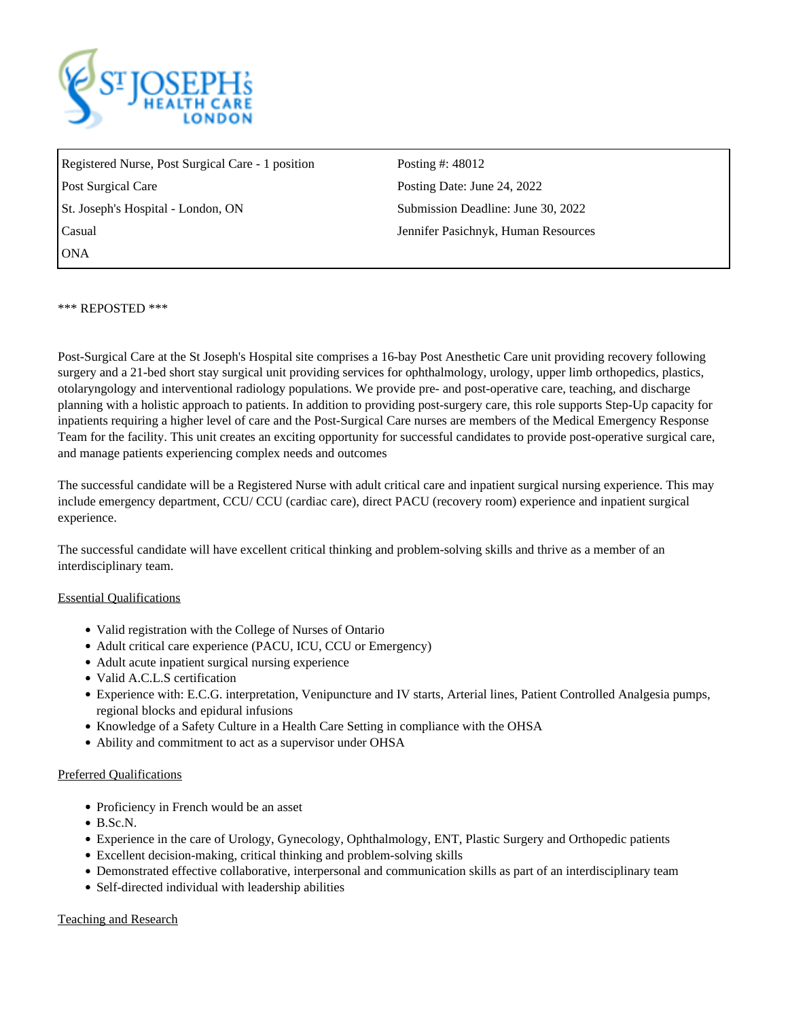

Registered Nurse, Post Surgical Care - 1 position Posting #: 48012 Post Surgical Care **Posting Date:** June 24, 2022 St. Joseph's Hospital - London, ON Submission Deadline: June 30, 2022 Casual Jennifer Pasichnyk, Human Resources **ONA** 

\*\*\* REPOSTED \*\*\*

Post-Surgical Care at the St Joseph's Hospital site comprises a 16-bay Post Anesthetic Care unit providing recovery following surgery and a 21-bed short stay surgical unit providing services for ophthalmology, urology, upper limb orthopedics, plastics, otolaryngology and interventional radiology populations. We provide pre- and post-operative care, teaching, and discharge planning with a holistic approach to patients. In addition to providing post-surgery care, this role supports Step-Up capacity for inpatients requiring a higher level of care and the Post-Surgical Care nurses are members of the Medical Emergency Response Team for the facility. This unit creates an exciting opportunity for successful candidates to provide post-operative surgical care, and manage patients experiencing complex needs and outcomes

The successful candidate will be a Registered Nurse with adult critical care and inpatient surgical nursing experience. This may include emergency department, CCU/ CCU (cardiac care), direct PACU (recovery room) experience and inpatient surgical experience.

The successful candidate will have excellent critical thinking and problem-solving skills and thrive as a member of an interdisciplinary team.

## Essential Qualifications

- Valid registration with the College of Nurses of Ontario
- Adult critical care experience (PACU, ICU, CCU or Emergency)
- Adult acute inpatient surgical nursing experience
- Valid A.C.L.S certification
- Experience with: E.C.G. interpretation, Venipuncture and IV starts, Arterial lines, Patient Controlled Analgesia pumps, regional blocks and epidural infusions
- Knowledge of a Safety Culture in a Health Care Setting in compliance with the OHSA
- Ability and commitment to act as a supervisor under OHSA

## Preferred Qualifications

- Proficiency in French would be an asset
- $\bullet$  B.Sc.N.
- Experience in the care of Urology, Gynecology, Ophthalmology, ENT, Plastic Surgery and Orthopedic patients
- Excellent decision-making, critical thinking and problem-solving skills
- Demonstrated effective collaborative, interpersonal and communication skills as part of an interdisciplinary team
- Self-directed individual with leadership abilities

## Teaching and Research